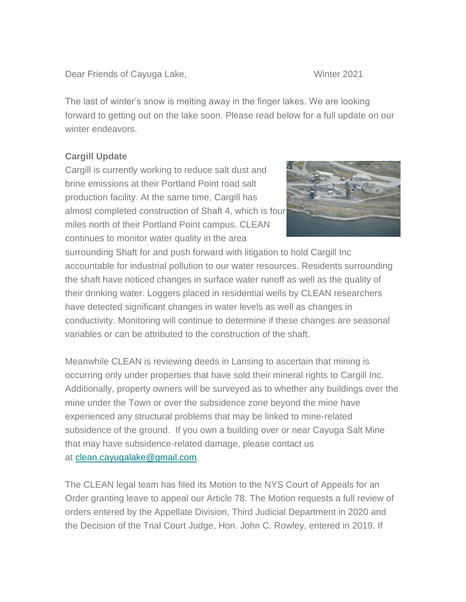Dear Friends of Cayuga Lake, New York 1988, Number 2021

The last of winter's snow is melting away in the finger lakes. We are looking forward to getting out on the lake soon. Please read below for a full update on our winter endeavors.

## **Cargill Update**

Cargill is currently working to reduce salt dust and brine emissions at their Portland Point road salt production facility. At the same time, Cargill has almost completed construction of Shaft 4, which is four miles north of their Portland Point campus. CLEAN continues to monitor water quality in the area



surrounding Shaft for and push forward with litigation to hold Cargill Inc accountable for industrial pollution to our water resources. Residents surrounding the shaft have noticed changes in surface water runoff as well as the quality of their drinking water. Loggers placed in residential wells by CLEAN researchers have detected significant changes in water levels as well as changes in conductivity. Monitoring will continue to determine if these changes are seasonal variables or can be attributed to the construction of the shaft.

Meanwhile CLEAN is reviewing deeds in Lansing to ascertain that mining is occurring only under properties that have sold their mineral rights to Cargill Inc. Additionally, property owners will be surveyed as to whether any buildings over the mine under the Town or over the subsidence zone beyond the mine have experienced any structural problems that may be linked to mine-related subsidence of the ground. If you own a building over or near Cayuga Salt Mine that may have subsidence-related damage, please contact us at [clean.cayugalake@gmail.com.](mailto:clean.cayugalake@gmail.com)

The CLEAN legal team has filed its Motion to the NYS Court of Appeals for an Order granting leave to appeal our Article 78. The Motion requests a full review of orders entered by the Appellate Division, Third Judicial Department in 2020 and the Decision of the Trial Court Judge, Hon. John C. Rowley, entered in 2019. If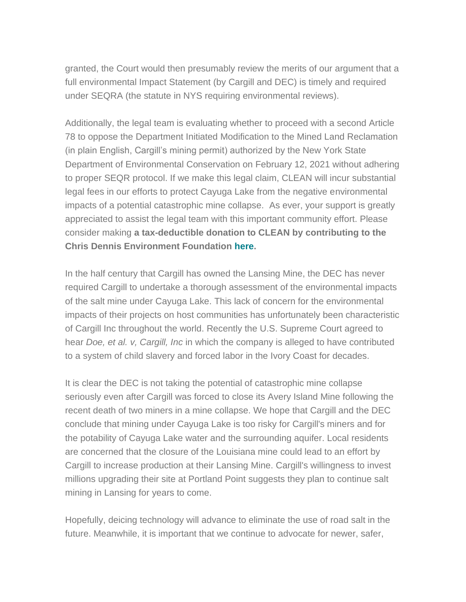granted, the Court would then presumably review the merits of our argument that a full environmental Impact Statement (by Cargill and DEC) is timely and required under SEQRA (the statute in NYS requiring environmental reviews).

Additionally, the legal team is evaluating whether to proceed with a second Article 78 to oppose the Department Initiated Modification to the Mined Land Reclamation (in plain English, Cargill's mining permit) authorized by the New York State Department of Environmental Conservation on February 12, 2021 without adhering to proper SEQR protocol. If we make this legal claim, CLEAN will incur substantial legal fees in our efforts to protect Cayuga Lake from the negative environmental impacts of a potential catastrophic mine collapse. As ever, your support is greatly appreciated to assist the legal team with this important community effort. Please consider making **a tax-deductible donation to CLEAN by contributing to the Chris Dennis Environment Foundation [here.](http://cleancayugalake.org/donations/)**

In the half century that Cargill has owned the Lansing Mine, the DEC has never required Cargill to undertake a thorough assessment of the environmental impacts of the salt mine under Cayuga Lake. This lack of concern for the environmental impacts of their projects on host communities has unfortunately been characteristic of Cargill Inc throughout the world. Recently the U.S. Supreme Court agreed to hear *Doe, et al. v, Cargill, Inc* in which the company is alleged to have contributed to a system of child slavery and forced labor in the Ivory Coast for decades.

It is clear the DEC is not taking the potential of catastrophic mine collapse seriously even after Cargill was forced to close its Avery Island Mine following the recent death of two miners in a mine collapse. We hope that Cargill and the DEC conclude that mining under Cayuga Lake is too risky for Cargill's miners and for the potability of Cayuga Lake water and the surrounding aquifer. Local residents are concerned that the closure of the Louisiana mine could lead to an effort by Cargill to increase production at their Lansing Mine. Cargill's willingness to invest millions upgrading their site at Portland Point suggests they plan to continue salt mining in Lansing for years to come.

Hopefully, deicing technology will advance to eliminate the use of road salt in the future. Meanwhile, it is important that we continue to advocate for newer, safer,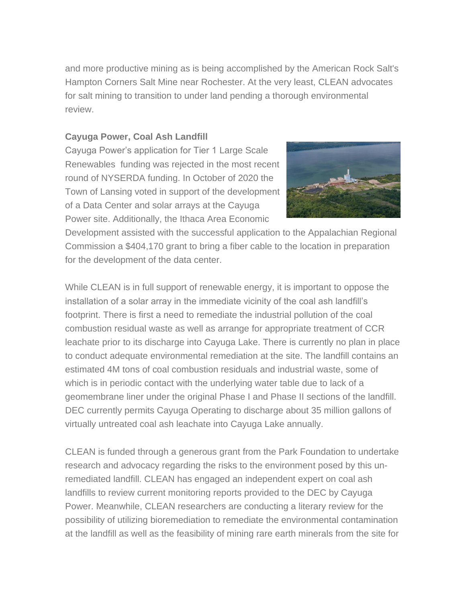and more productive mining as is being accomplished by the American Rock Salt's Hampton Corners Salt Mine near Rochester. At the very least, CLEAN advocates for salt mining to transition to under land pending a thorough environmental review.

## **Cayuga Power, Coal Ash Landfill**

Cayuga Power's application for Tier 1 Large Scale Renewables funding was rejected in the most recent round of NYSERDA funding. In October of 2020 the Town of Lansing voted in support of the development of a Data Center and solar arrays at the Cayuga Power site. Additionally, the Ithaca Area Economic



Development assisted with the successful application to the Appalachian Regional Commission a \$404,170 grant to bring a fiber cable to the location in preparation for the development of the data center.

While CLEAN is in full support of renewable energy, it is important to oppose the installation of a solar array in the immediate vicinity of the coal ash landfill's footprint. There is first a need to remediate the industrial pollution of the coal combustion residual waste as well as arrange for appropriate treatment of CCR leachate prior to its discharge into Cayuga Lake. There is currently no plan in place to conduct adequate environmental remediation at the site. The landfill contains an estimated 4M tons of coal combustion residuals and industrial waste, some of which is in periodic contact with the underlying water table due to lack of a geomembrane liner under the original Phase I and Phase II sections of the landfill. DEC currently permits Cayuga Operating to discharge about 35 million gallons of virtually untreated coal ash leachate into Cayuga Lake annually.

CLEAN is funded through a generous grant from the Park Foundation to undertake research and advocacy regarding the risks to the environment posed by this unremediated landfill. CLEAN has engaged an independent expert on coal ash landfills to review current monitoring reports provided to the DEC by Cayuga Power. Meanwhile, CLEAN researchers are conducting a literary review for the possibility of utilizing bioremediation to remediate the environmental contamination at the landfill as well as the feasibility of mining rare earth minerals from the site for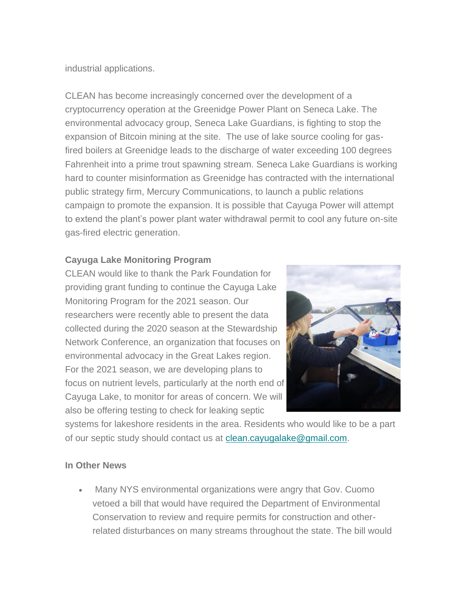industrial applications.

CLEAN has become increasingly concerned over the development of a cryptocurrency operation at the Greenidge Power Plant on Seneca Lake. The environmental advocacy group, Seneca Lake Guardians, is fighting to stop the expansion of Bitcoin mining at the site. The use of lake source cooling for gasfired boilers at Greenidge leads to the discharge of water exceeding 100 degrees Fahrenheit into a prime trout spawning stream. Seneca Lake Guardians is working hard to counter misinformation as Greenidge has contracted with the international public strategy firm, Mercury Communications, to launch a public relations campaign to promote the expansion. It is possible that Cayuga Power will attempt to extend the plant's power plant water withdrawal permit to cool any future on-site gas-fired electric generation.

## **Cayuga Lake Monitoring Program**

CLEAN would like to thank the Park Foundation for providing grant funding to continue the Cayuga Lake Monitoring Program for the 2021 season. Our researchers were recently able to present the data collected during the 2020 season at the Stewardship Network Conference, an organization that focuses on environmental advocacy in the Great Lakes region. For the 2021 season, we are developing plans to focus on nutrient levels, particularly at the north end of Cayuga Lake, to monitor for areas of concern. We will also be offering testing to check for leaking septic



systems for lakeshore residents in the area. Residents who would like to be a part of our septic study should contact us at [clean.cayugalake@gmail.com.](mailto:clean.cayugalake@gmail.com)

## **In Other News**

• Many NYS environmental organizations were angry that Gov. Cuomo vetoed a bill that would have required the Department of Environmental Conservation to review and require permits for construction and otherrelated disturbances on many streams throughout the state. The bill would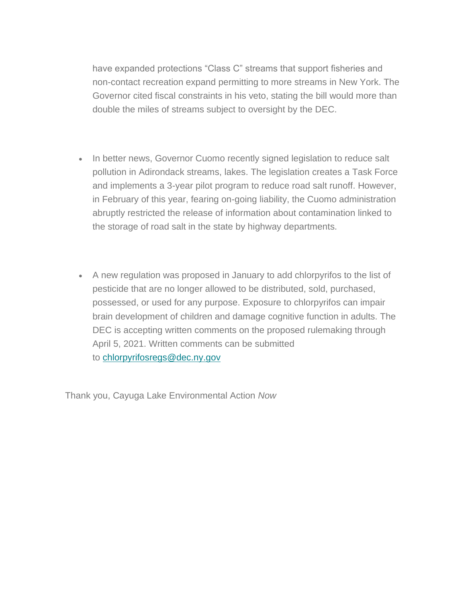have expanded protections "Class C" streams that support fisheries and non-contact recreation expand permitting to more streams in New York. The Governor cited fiscal constraints in his veto, stating the bill would more than double the miles of streams subject to oversight by the DEC.

- In better news, Governor Cuomo recently signed legislation to reduce salt pollution in Adirondack streams, lakes. The legislation creates a Task Force and implements a 3-year pilot program to reduce road salt runoff. However, in February of this year, fearing on-going liability, the Cuomo administration abruptly restricted the release of information about contamination linked to the storage of road salt in the state by highway departments.
- A new regulation was proposed in January to add chlorpyrifos to the list of pesticide that are no longer allowed to be distributed, sold, purchased, possessed, or used for any purpose. Exposure to chlorpyrifos can impair brain development of children and damage cognitive function in adults. The DEC is accepting written comments on the proposed rulemaking through April 5, 2021. Written comments can be submitted to [chlorpyrifosregs@dec.ny.gov](mailto:chlorpyrifosregs@dec.ny.gov)

Thank you, Cayuga Lake Environmental Action *Now*